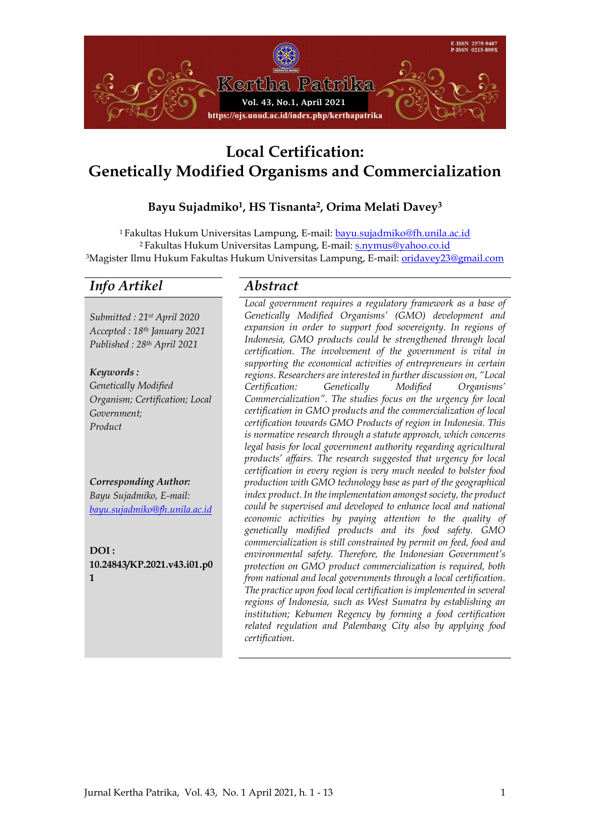

# **Local Certification: Genetically Modified Organisms and Commercialization**

# **Bayu Sujadmiko1, HS Tisnanta2, Orima Melati Davey<sup>3</sup>**

<sup>1</sup> Fakultas Hukum Universitas Lampung, E-mail: [bayu.sujadmiko@fh.unila.ac.id](mailto:bayu.sujadmiko@fh.unila.ac.id) <sup>2</sup> Fakultas Hukum Universitas Lampung, E-mail[: s.nymus@yahoo.co.id](mailto:s.nymus@yahoo.co.id) <sup>3</sup>Magister Ilmu Hukum Fakultas Hukum Universitas Lampung, E-mail: [oridavey23@gmail.com](mailto:oridavey23@gmail.com)

# *Info Artikel Abstract*

*Submitted : 21st April 2020 Accepted : 18th January 2021 Published : 28th April 2021*

*Keywords : Genetically Modified Organism; Certification; Local Government; Product*

*Corresponding Author: Bayu Sujadmiko, E-mail: [bayu.sujadmiko@fh.unila.ac.id](mailto:bayu.sujadmiko@fh.unila.ac.id)*

**DOI : 10.24843/KP.2021.v43.i01.p0 1**

*Local government requires a regulatory framework as a base of Genetically Modified Organisms' (GMO) development and expansion in order to support food sovereignty. In regions of Indonesia, GMO products could be strengthened through local certification. The involvement of the government is vital in supporting the economical activities of entrepreneurs in certain regions. Researchers are interested in further discussion on, "Local Certification: Genetically Modified Organisms' Commercialization". The studies focus on the urgency for local certification in GMO products and the commercialization of local certification towards GMO Products of region in Indonesia. This is normative research through a statute approach, which concerns legal basis for local government authority regarding agricultural products' affairs. The research suggested that urgency for local certification in every region is very much needed to bolster food production with GMO technology base as part of the geographical index product. In the implementation amongst society, the product could be supervised and developed to enhance local and national economic activities by paying attention to the quality of genetically modified products and its food safety. GMO commercialization is still constrained by permit on feed, food and environmental safety. Therefore, the Indonesian Government's protection on GMO product commercialization is required, both from national and local governments through a local certification. The practice upon food local certification is implemented in several regions of Indonesia, such as West Sumatra by establishing an institution; Kebumen Regency by forming a food certification related regulation and Palembang City also by applying food certification.*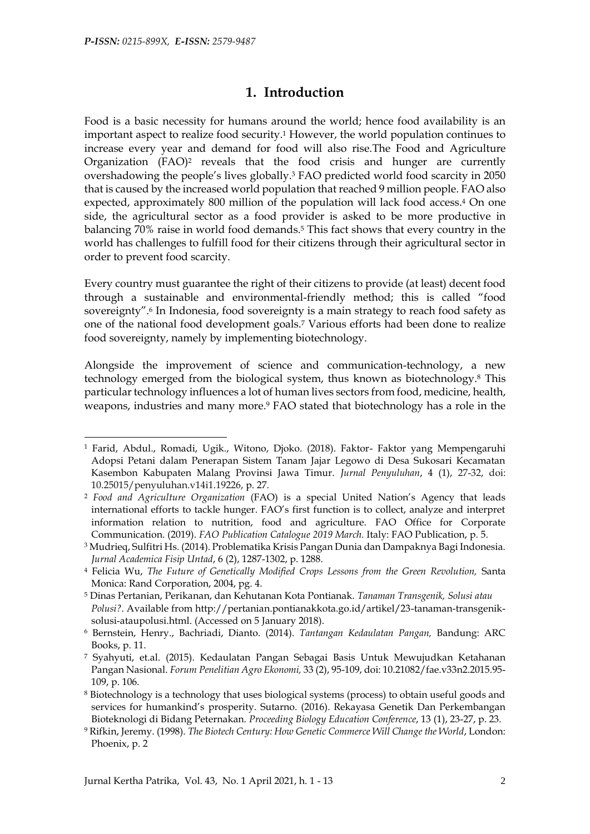-

# **1. Introduction**

Food is a basic necessity for humans around the world; hence food availability is an important aspect to realize food security.<sup>1</sup> However, the world population continues to increase every year and demand for food will also rise.The Food and Agriculture Organization (FAO)<sup>2</sup> reveals that the food crisis and hunger are currently overshadowing the people's lives globally. <sup>3</sup> FAO predicted world food scarcity in 2050 that is caused by the increased world population that reached 9 million people. FAO also expected, approximately 800 million of the population will lack food access.<sup>4</sup> On one side, the agricultural sector as a food provider is asked to be more productive in balancing 70% raise in world food demands.<sup>5</sup> This fact shows that every country in the world has challenges to fulfill food for their citizens through their agricultural sector in order to prevent food scarcity.

Every country must guarantee the right of their citizens to provide (at least) decent food through a sustainable and environmental-friendly method; this is called "food sovereignty".<sup>6</sup> In Indonesia, food sovereignty is a main strategy to reach food safety as one of the national food development goals.<sup>7</sup> Various efforts had been done to realize food sovereignty, namely by implementing biotechnology.

Alongside the improvement of science and communication-technology, a new technology emerged from the biological system, thus known as biotechnology.<sup>8</sup> This particular technology influences a lot of human lives sectors from food, medicine, health, weapons, industries and many more.<sup>9</sup> FAO stated that biotechnology has a role in the

<sup>1</sup> Farid, Abdul., Romadi, Ugik., Witono, Djoko. (2018). Faktor- Faktor yang Mempengaruhi Adopsi Petani dalam Penerapan Sistem Tanam Jajar Legowo di Desa Sukosari Kecamatan Kasembon Kabupaten Malang Provinsi Jawa Timur. *Jurnal Penyuluhan*, 4 (1), 27-32, doi: 10.25015/penyuluhan.v14i1.19226, p. 27.

<sup>2</sup> *Food and Agriculture Organization* (FAO) is a special United Nation's Agency that leads international efforts to tackle hunger. FAO's first function is to collect, analyze and interpret information relation to nutrition, food and agriculture. FAO Office for Corporate Communication. (2019). *FAO Publication Catalogue 2019 March.* Italy: FAO Publication, p. 5.

<sup>3</sup> Mudrieq, Sulfitri Hs. (2014). Problematika Krisis Pangan Dunia dan Dampaknya Bagi Indonesia. *Jurnal Academica Fisip Untad*, 6 (2), 1287-1302, p. 1288.

<sup>4</sup> Felicia Wu, *The Future of Genetically Modified Crops Lessons from the Green Revolution,* Santa Monica: Rand Corporation, 2004, pg. 4.

<sup>5</sup> Dinas Pertanian, Perikanan, dan Kehutanan Kota Pontianak. *Tanaman Transgenik, Solusi atau Polusi?*. Available from [http://pertanian.pontianakkota.go.id/artikel/23-tanaman-transgenik](http://pertanian.pontianakkota.go.id/artikel/23-tanaman-transgenik-solusi-ataupolusi.html)[solusi-ataupolusi.html.](http://pertanian.pontianakkota.go.id/artikel/23-tanaman-transgenik-solusi-ataupolusi.html) (Accessed on 5 January 2018).

<sup>6</sup> Bernstein, Henry., Bachriadi, Dianto. (2014). *Tantangan Kedaulatan Pangan,* Bandung: ARC Books, p. 11.

<sup>7</sup> Syahyuti, et.al. (2015). Kedaulatan Pangan Sebagai Basis Untuk Mewujudkan Ketahanan Pangan Nasional. *Forum Penelitian Agro Ekonomi,* 33 (2), 95-109, doi: 10.21082/fae.v33n2.2015.95- 109, p. 106.

<sup>8</sup> Biotechnology is a technology that uses biological systems (process) to obtain useful goods and services for humankind's prosperity. Sutarno. (2016). Rekayasa Genetik Dan Perkembangan Bioteknologi di Bidang Peternakan. *Proceeding Biology Education Conference*, 13 (1), 23-27, p. 23.

<sup>9</sup> Rifkin, Jeremy. (1998). *The Biotech Century: How Genetic Commerce Will Change the World*, London: Phoenix, p. 2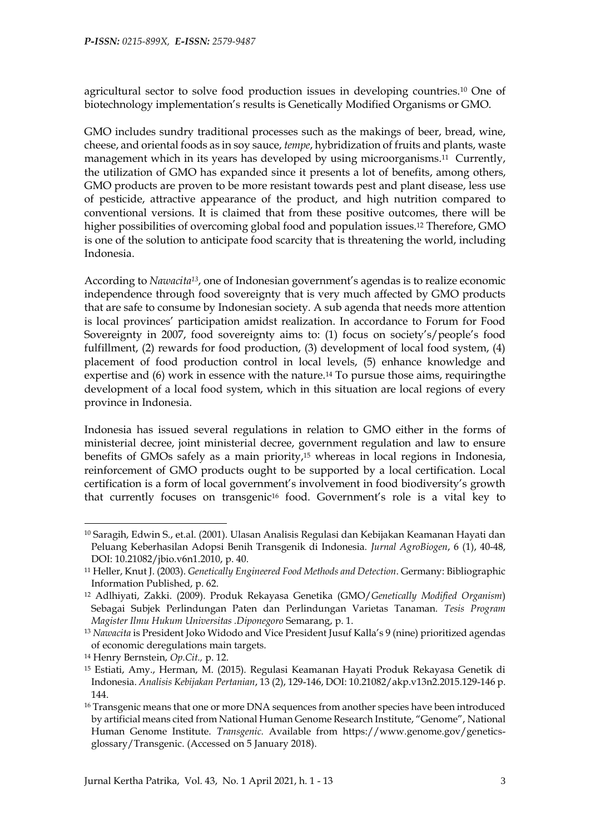agricultural sector to solve food production issues in developing countries.<sup>10</sup> One of biotechnology implementation's results is Genetically Modified Organisms or GMO.

GMO includes sundry traditional processes such as the makings of beer, bread, wine, cheese, and oriental foods as in soy sauce, *tempe*, hybridization of fruits and plants, waste management which in its years has developed by using microorganisms.<sup>11</sup> Currently, the utilization of GMO has expanded since it presents a lot of benefits, among others, GMO products are proven to be more resistant towards pest and plant disease, less use of pesticide, attractive appearance of the product, and high nutrition compared to conventional versions. It is claimed that from these positive outcomes, there will be higher possibilities of overcoming global food and population issues.<sup>12</sup> Therefore, GMO is one of the solution to anticipate food scarcity that is threatening the world, including Indonesia.

According to *Nawacita13*, one of Indonesian government's agendas is to realize economic independence through food sovereignty that is very much affected by GMO products that are safe to consume by Indonesian society. A sub agenda that needs more attention is local provinces' participation amidst realization. In accordance to Forum for Food Sovereignty in 2007, food sovereignty aims to: (1) focus on society's/people's food fulfillment, (2) rewards for food production, (3) development of local food system, (4) placement of food production control in local levels, (5) enhance knowledge and expertise and (6) work in essence with the nature.<sup>14</sup> To pursue those aims, requiringthe development of a local food system, which in this situation are local regions of every province in Indonesia.

Indonesia has issued several regulations in relation to GMO either in the forms of ministerial decree, joint ministerial decree, government regulation and law to ensure benefits of GMOs safely as a main priority,<sup>15</sup> whereas in local regions in Indonesia, reinforcement of GMO products ought to be supported by a local certification. Local certification is a form of local government's involvement in food biodiversity's growth that currently focuses on transgenic<sup>16</sup> food. Government's role is a vital key to

<sup>10</sup> Saragih, Edwin S., et.al. (2001). Ulasan Analisis Regulasi dan Kebijakan Keamanan Hayati dan Peluang Keberhasilan Adopsi Benih Transgenik di Indonesia. *Jurnal AgroBiogen*, 6 (1), 40-48, DOI: 10.21082/jbio.v6n1.2010, p. 40.

<sup>11</sup> Heller, Knut J. (2003). *Genetically Engineered Food Methods and Detection*. Germany: Bibliographic Information Published, p. 62.

<sup>12</sup> Adlhiyati, Zakki. (2009). Produk Rekayasa Genetika (GMO/*Genetically Modified Organism*) Sebagai Subjek Perlindungan Paten dan Perlindungan Varietas Tanaman. *Tesis Program Magister Ilmu Hukum Universitas .Diponegoro* Semarang, p. 1.

<sup>13</sup> *Nawacita* is President Joko Widodo and Vice President Jusuf Kalla's 9 (nine) prioritized agendas of economic deregulations main targets.

<sup>14</sup> Henry Bernstein, *Op.Cit.,* p. 12.

<sup>15</sup> Estiati, Amy., Herman, M. (2015). Regulasi Keamanan Hayati Produk Rekayasa Genetik di Indonesia. *Analisis Kebijakan Pertanian*, 13 (2), 129-146, DOI: [10.21082/akp.v13n2.2015.129-146](http://dx.doi.org/10.21082/akp.v13n2.2015.129-146) p. 144.

<sup>&</sup>lt;sup>16</sup> Transgenic means that one or more DNA sequences from another species have been introduced by artificial means cited from National Human Genome Research Institute, "Genome", National Human Genome Institute. *Transgenic.* Available from [https://www.genome.gov/genetics](https://www.genome.gov/genetics-glossary/Transgenic)[glossary/Transgenic.](https://www.genome.gov/genetics-glossary/Transgenic) (Accessed on 5 January 2018).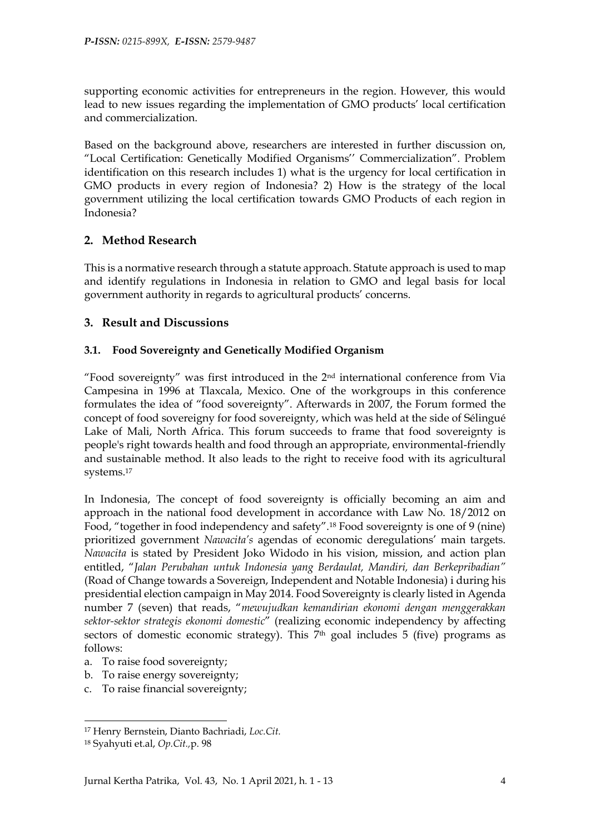supporting economic activities for entrepreneurs in the region. However, this would lead to new issues regarding the implementation of GMO products' local certification and commercialization.

Based on the background above, researchers are interested in further discussion on, "Local Certification: Genetically Modified Organisms'' Commercialization". Problem identification on this research includes 1) what is the urgency for local certification in GMO products in every region of Indonesia? 2) How is the strategy of the local government utilizing the local certification towards GMO Products of each region in Indonesia?

#### **2. Method Research**

This is a normative research through a statute approach. Statute approach is used to map and identify regulations in Indonesia in relation to GMO and legal basis for local government authority in regards to agricultural products' concerns.

#### **3. Result and Discussions**

#### **3.1. Food Sovereignty and Genetically Modified Organism**

"Food sovereignty" was first introduced in the  $2<sup>nd</sup>$  international conference from Via Campesina in 1996 at Tlaxcala, Mexico. One of the workgroups in this conference formulates the idea of "food sovereignty". Afterwards in 2007, the Forum formed the concept of food sovereigny for food sovereignty, which was held at the side of Sélingué Lake of Mali, North Africa. This forum succeeds to frame that food sovereignty is people's right towards health and food through an appropriate, environmental-friendly and sustainable method. It also leads to the right to receive food with its agricultural systems.<sup>17</sup>

In Indonesia, The concept of food sovereignty is officially becoming an aim and approach in the national food development in accordance with Law No. 18/2012 on Food, "together in food independency and safety".<sup>18</sup> Food sovereignty is one of 9 (nine) prioritized government *Nawacita's* agendas of economic deregulations' main targets. *Nawacita* is stated by President Joko Widodo in his vision, mission, and action plan entitled, "*Jalan Perubahan untuk Indonesia yang Berdaulat, Mandiri, dan Berkepribadian"* (Road of Change towards a Sovereign, Independent and Notable Indonesia) i during his presidential election campaign in May 2014. Food Sovereignty is clearly listed in Agenda number 7 (seven) that reads, "*mewujudkan kemandirian ekonomi dengan menggerakkan sektor-sektor strategis ekonomi domestic*" (realizing economic independency by affecting sectors of domestic economic strategy). This  $7<sup>th</sup>$  goal includes 5 (five) programs as follows:

- a. To raise food sovereignty;
- b. To raise energy sovereignty;
- c. To raise financial sovereignty;

 $\overline{a}$ 

<sup>17</sup> Henry Bernstein, Dianto Bachriadi, *Loc.Cit.*

<sup>18</sup> Syahyuti et.al, *Op.Cit.,*p. 98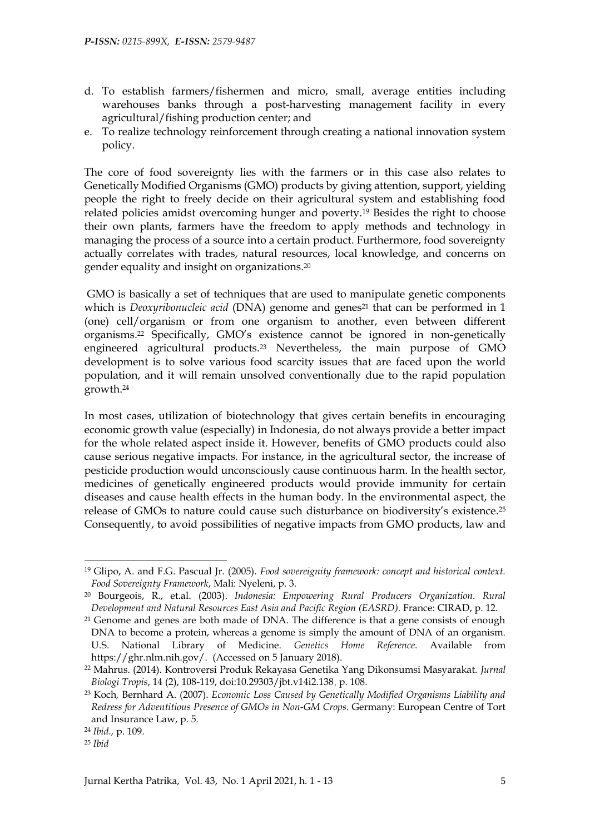- d. To establish farmers/fishermen and micro, small, average entities including warehouses banks through a post-harvesting management facility in every agricultural/fishing production center; and
- e. To realize technology reinforcement through creating a national innovation system policy.

The core of food sovereignty lies with the farmers or in this case also relates to Genetically Modified Organisms (GMO) products by giving attention, support, yielding people the right to freely decide on their agricultural system and establishing food related policies amidst overcoming hunger and poverty.<sup>19</sup> Besides the right to choose their own plants, farmers have the freedom to apply methods and technology in managing the process of a source into a certain product. Furthermore, food sovereignty actually correlates with trades, natural resources, local knowledge, and concerns on gender equality and insight on organizations.<sup>20</sup>

GMO is basically a set of techniques that are used to manipulate genetic components which is *Deoxyribonucleic acid* (DNA) genome and genes<sup>21</sup> that can be performed in 1 (one) cell/organism or from one organism to another, even between different organisms.<sup>22</sup> Specifically, GMO's existence cannot be ignored in non-genetically engineered agricultural products. <sup>23</sup> Nevertheless, the main purpose of GMO development is to solve various food scarcity issues that are faced upon the world population, and it will remain unsolved conventionally due to the rapid population growth.<sup>24</sup>

In most cases, utilization of biotechnology that gives certain benefits in encouraging economic growth value (especially) in Indonesia, do not always provide a better impact for the whole related aspect inside it. However, benefits of GMO products could also cause serious negative impacts. For instance, in the agricultural sector, the increase of pesticide production would unconsciously cause continuous harm. In the health sector, medicines of genetically engineered products would provide immunity for certain diseases and cause health effects in the human body. In the environmental aspect, the release of GMOs to nature could cause such disturbance on biodiversity's existence.<sup>25</sup> Consequently, to avoid possibilities of negative impacts from GMO products, law and

<sup>19</sup> Glipo, A. and F.G. Pascual Jr. (2005). *Food sovereignity framework: concept and historical context. Food Sovereignty Framework*, Mali: Nyeleni, p. 3.

<sup>20</sup> Bourgeois, R., et.al. (2003). *Indonesia: Empowering Rural Producers Organization. Rural Development and Natural Resources East Asia and Pacific Region (EASRD).* France: CIRAD, p. 12.

<sup>21</sup> Genome and genes are both made of DNA. The difference is that a gene consists of enough DNA to become a protein, whereas a genome is simply the amount of DNA of an organism. U.S. National Library of Medicine. *Genetics Home Reference.* Available from [https://ghr.nlm.nih.gov/.](https://ghr.nlm.nih.gov/) (Accessed on 5 January 2018).

<sup>22</sup> Mahrus. (2014). Kontroversi Produk Rekayasa Genetika Yang Dikonsumsi Masyarakat. *Jurnal Biologi Tropis*, 14 (2), 108-119, do[i:10.29303/jbt.v14i2.138](https://dx.doi.org/10.29303/jbt.v14i2.138), p. 108.

<sup>23</sup> Koch*,* Bernhard A. (2007). *Economic Loss Caused by Genetically Modified Organisms Liability and Redress for Adventitious Presence of GMOs in Non-GM Crops*. Germany: European Centre of Tort and Insurance Law, p. 5.

<sup>24</sup> *Ibid.,* p. 109.

<sup>25</sup> *Ibid*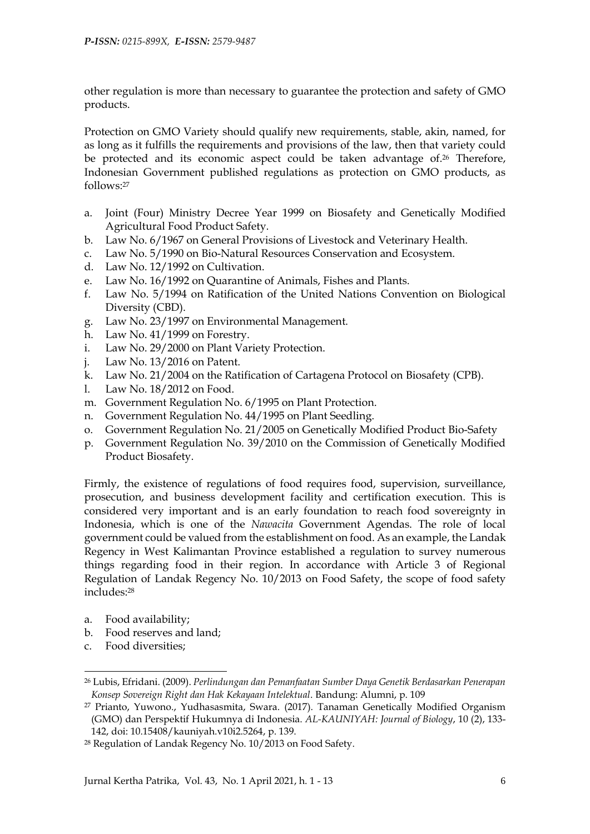other regulation is more than necessary to guarantee the protection and safety of GMO products.

Protection on GMO Variety should qualify new requirements, stable, akin, named, for as long as it fulfills the requirements and provisions of the law, then that variety could be protected and its economic aspect could be taken advantage of. <sup>26</sup> Therefore, Indonesian Government published regulations as protection on GMO products, as follows:<sup>27</sup>

- a. Joint (Four) Ministry Decree Year 1999 on Biosafety and Genetically Modified Agricultural Food Product Safety.
- b. Law No. 6/1967 on General Provisions of Livestock and Veterinary Health.
- c. Law No. 5/1990 on Bio-Natural Resources Conservation and Ecosystem.
- d. Law No. 12/1992 on Cultivation.
- e. Law No. 16/1992 on Quarantine of Animals, Fishes and Plants.
- f. Law No. 5/1994 on Ratification of the United Nations Convention on Biological Diversity (CBD).
- g. Law No. 23/1997 on Environmental Management.
- h. Law No. 41/1999 on Forestry.
- i. Law No. 29/2000 on Plant Variety Protection.
- j. Law No. 13/2016 on Patent.
- k. Law No. 21/2004 on the Ratification of Cartagena Protocol on Biosafety (CPB).
- l. Law No. 18/2012 on Food.
- m. Government Regulation No. 6/1995 on Plant Protection.
- n. Government Regulation No. 44/1995 on Plant Seedling.
- o. Government Regulation No. 21/2005 on Genetically Modified Product Bio-Safety
- p. Government Regulation No. 39/2010 on the Commission of Genetically Modified Product Biosafety.

Firmly, the existence of regulations of food requires food, supervision, surveillance, prosecution, and business development facility and certification execution. This is considered very important and is an early foundation to reach food sovereignty in Indonesia, which is one of the *Nawacita* Government Agendas. The role of local government could be valued from the establishment on food. As an example, the Landak Regency in West Kalimantan Province established a regulation to survey numerous things regarding food in their region. In accordance with Article 3 of Regional Regulation of Landak Regency No. 10/2013 on Food Safety, the scope of food safety includes:<sup>28</sup>

- a. Food availability;
- b. Food reserves and land;
- c. Food diversities;

<sup>26</sup> Lubis, Efridani. (2009). *Perlindungan dan Pemanfaatan Sumber Daya Genetik Berdasarkan Penerapan Konsep Sovereign Right dan Hak Kekayaan Intelektual*. Bandung: Alumni, p. 109

<sup>27</sup> Prianto, Yuwono., Yudhasasmita, Swara. (2017). Tanaman Genetically Modified Organism (GMO) dan Perspektif Hukumnya di Indonesia. *AL-KAUNIYAH: Journal of Biology*, 10 (2), 133- 142, doi: [10.15408/kauniyah.v10i2.5264,](https://doi.org/10.15408/kauniyah.v10i2.5264) p. 139.

<sup>28</sup> Regulation of Landak Regency No. 10/2013 on Food Safety.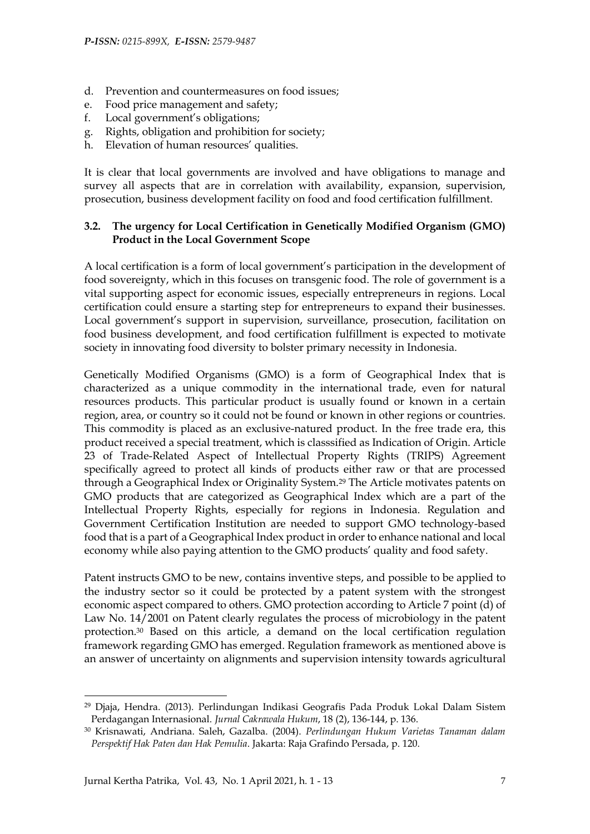- d. Prevention and countermeasures on food issues;
- e. Food price management and safety;
- f. Local government's obligations;
- g. Rights, obligation and prohibition for society;
- h. Elevation of human resources' qualities.

It is clear that local governments are involved and have obligations to manage and survey all aspects that are in correlation with availability, expansion, supervision, prosecution, business development facility on food and food certification fulfillment.

#### **3.2. The urgency for Local Certification in Genetically Modified Organism (GMO) Product in the Local Government Scope**

A local certification is a form of local government's participation in the development of food sovereignty, which in this focuses on transgenic food. The role of government is a vital supporting aspect for economic issues, especially entrepreneurs in regions. Local certification could ensure a starting step for entrepreneurs to expand their businesses. Local government's support in supervision, surveillance, prosecution, facilitation on food business development, and food certification fulfillment is expected to motivate society in innovating food diversity to bolster primary necessity in Indonesia.

Genetically Modified Organisms (GMO) is a form of Geographical Index that is characterized as a unique commodity in the international trade, even for natural resources products. This particular product is usually found or known in a certain region, area, or country so it could not be found or known in other regions or countries. This commodity is placed as an exclusive-natured product. In the free trade era, this product received a special treatment, which is classsified as Indication of Origin. Article 23 of Trade-Related Aspect of Intellectual Property Rights (TRIPS) Agreement specifically agreed to protect all kinds of products either raw or that are processed through a Geographical Index or Originality System.<sup>29</sup> The Article motivates patents on GMO products that are categorized as Geographical Index which are a part of the Intellectual Property Rights, especially for regions in Indonesia. Regulation and Government Certification Institution are needed to support GMO technology-based food that is a part of a Geographical Index product in order to enhance national and local economy while also paying attention to the GMO products' quality and food safety.

Patent instructs GMO to be new, contains inventive steps, and possible to be applied to the industry sector so it could be protected by a patent system with the strongest economic aspect compared to others. GMO protection according to Article 7 point (d) of Law No. 14/2001 on Patent clearly regulates the process of microbiology in the patent protection.<sup>30</sup> Based on this article, a demand on the local certification regulation framework regarding GMO has emerged. Regulation framework as mentioned above is an answer of uncertainty on alignments and supervision intensity towards agricultural

<sup>29</sup> Djaja, Hendra. (2013). Perlindungan Indikasi Geografis Pada Produk Lokal Dalam Sistem Perdagangan Internasional. *Jurnal Cakrawala Hukum*, 18 (2), 136-144, p. 136.

<sup>30</sup> Krisnawati, Andriana. Saleh, Gazalba. (2004). *Perlindungan Hukum Varietas Tanaman dalam Perspektif Hak Paten dan Hak Pemulia*. Jakarta: Raja Grafindo Persada, p. 120.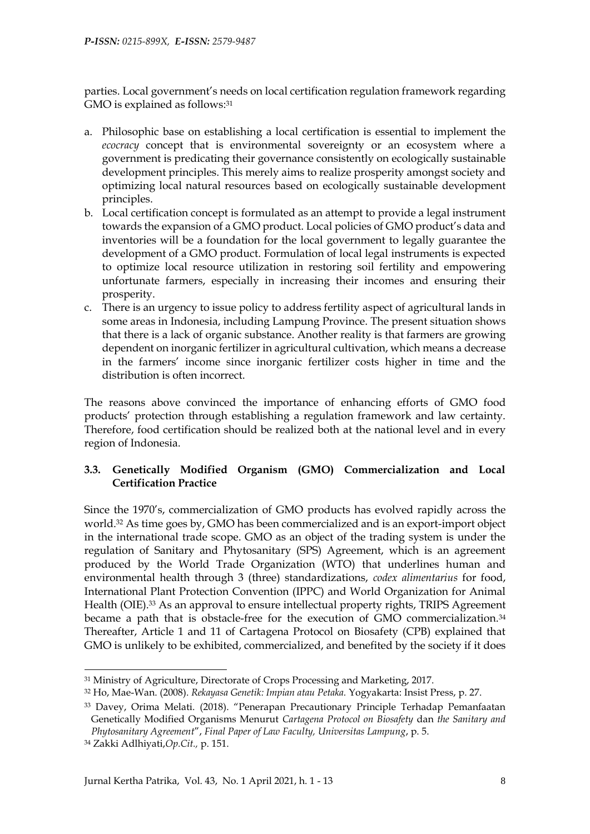parties. Local government's needs on local certification regulation framework regarding GMO is explained as follows: 31

- a. Philosophic base on establishing a local certification is essential to implement the *ecocracy* concept that is environmental sovereignty or an ecosystem where a government is predicating their governance consistently on ecologically sustainable development principles. This merely aims to realize prosperity amongst society and optimizing local natural resources based on ecologically sustainable development principles.
- b. Local certification concept is formulated as an attempt to provide a legal instrument towards the expansion of a GMO product. Local policies of GMO product's data and inventories will be a foundation for the local government to legally guarantee the development of a GMO product. Formulation of local legal instruments is expected to optimize local resource utilization in restoring soil fertility and empowering unfortunate farmers, especially in increasing their incomes and ensuring their prosperity.
- c. There is an urgency to issue policy to address fertility aspect of agricultural lands in some areas in Indonesia, including Lampung Province. The present situation shows that there is a lack of organic substance. Another reality is that farmers are growing dependent on inorganic fertilizer in agricultural cultivation, which means a decrease in the farmers' income since inorganic fertilizer costs higher in time and the distribution is often incorrect.

The reasons above convinced the importance of enhancing efforts of GMO food products' protection through establishing a regulation framework and law certainty. Therefore, food certification should be realized both at the national level and in every region of Indonesia.

#### **3.3. Genetically Modified Organism (GMO) Commercialization and Local Certification Practice**

Since the 1970's, commercialization of GMO products has evolved rapidly across the world.<sup>32</sup> As time goes by, GMO has been commercialized and is an export-import object in the international trade scope. GMO as an object of the trading system is under the regulation of Sanitary and Phytosanitary (SPS) Agreement, which is an agreement produced by the World Trade Organization (WTO) that underlines human and environmental health through 3 (three) standardizations, *codex alimentarius* for food, International Plant Protection Convention (IPPC) and World Organization for Animal Health (OIE).<sup>33</sup> As an approval to ensure intellectual property rights, TRIPS Agreement became a path that is obstacle-free for the execution of GMO commercialization.<sup>34</sup> Thereafter, Article 1 and 11 of Cartagena Protocol on Biosafety (CPB) explained that GMO is unlikely to be exhibited, commercialized, and benefited by the society if it does

<sup>31</sup> Ministry of Agriculture, Directorate of Crops Processing and Marketing, 2017.

<sup>32</sup> Ho, Mae-Wan. (2008). *Rekayasa Genetik: Impian atau Petaka.* Yogyakarta: Insist Press, p. 27.

<sup>33</sup> Davey, Orima Melati. (2018). "Penerapan Precautionary Principle Terhadap Pemanfaatan Genetically Modified Organisms Menurut *Cartagena Protocol on Biosafety* dan *the Sanitary and Phytosanitary Agreement*", *Final Paper of Law Faculty, Universitas Lampung*, p. 5.

<sup>34</sup> Zakki Adlhiyati,*Op.Cit.,* p. 151.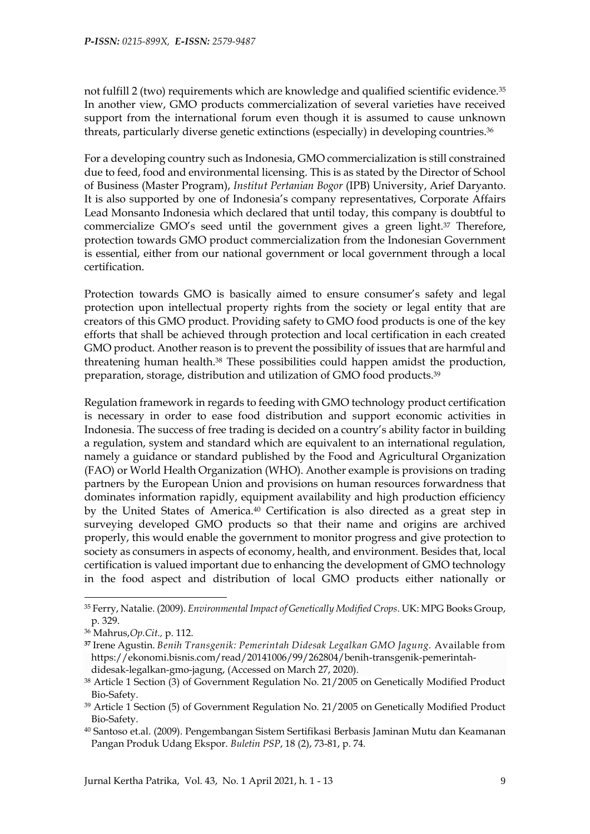not fulfill 2 (two) requirements which are knowledge and qualified scientific evidence.<sup>35</sup> In another view, GMO products commercialization of several varieties have received support from the international forum even though it is assumed to cause unknown threats, particularly diverse genetic extinctions (especially) in developing countries.<sup>36</sup>

For a developing country such as Indonesia, GMO commercialization is still constrained due to feed, food and environmental licensing. This is as stated by the Director of School of Business (Master Program), *Institut Pertanian Bogor* (IPB) University, Arief Daryanto. It is also supported by one of Indonesia's company representatives, Corporate Affairs Lead Monsanto Indonesia which declared that until today, this company is doubtful to commercialize GMO's seed until the government gives a green light.<sup>37</sup> Therefore, protection towards GMO product commercialization from the Indonesian Government is essential, either from our national government or local government through a local certification.

Protection towards GMO is basically aimed to ensure consumer's safety and legal protection upon intellectual property rights from the society or legal entity that are creators of this GMO product. Providing safety to GMO food products is one of the key efforts that shall be achieved through protection and local certification in each created GMO product. Another reason is to prevent the possibility of issues that are harmful and threatening human health.<sup>38</sup> These possibilities could happen amidst the production, preparation, storage, distribution and utilization of GMO food products.<sup>39</sup>

Regulation framework in regards to feeding with GMO technology product certification is necessary in order to ease food distribution and support economic activities in Indonesia. The success of free trading is decided on a country's ability factor in building a regulation, system and standard which are equivalent to an international regulation, namely a guidance or standard published by the Food and Agricultural Organization (FAO) or World Health Organization (WHO). Another example is provisions on trading partners by the European Union and provisions on human resources forwardness that dominates information rapidly, equipment availability and high production efficiency by the United States of America.<sup>40</sup> Certification is also directed as a great step in surveying developed GMO products so that their name and origins are archived properly, this would enable the government to monitor progress and give protection to society as consumers in aspects of economy, health, and environment. Besides that, local certification is valued important due to enhancing the development of GMO technology in the food aspect and distribution of local GMO products either nationally or

<sup>35</sup> Ferry, Natalie. (2009). *Environmental Impact of Genetically Modified Crops*. UK: MPG Books Group, p. 329.

<sup>36</sup> Mahrus,*Op.Cit.,* p. 112.

**<sup>37</sup>** Irene Agustin. *Benih Transgenik: Pemerintah Didesak Legalkan GMO Jagung.* Available from [https://ekonomi.bisnis.com/read/20141006/99/262804/benih-transgenik-pemerintah](https://ekonomi.bisnis.com/read/20141006/99/262804/benih-transgenik-pemerintah-didesak-legalkan-gmo-jagung)[didesak-legalkan-gmo-jagung,](https://ekonomi.bisnis.com/read/20141006/99/262804/benih-transgenik-pemerintah-didesak-legalkan-gmo-jagung) (Accessed on March 27, 2020).

<sup>38</sup> Article 1 Section (3) of Government Regulation No. 21/2005 on Genetically Modified Product Bio-Safety.

<sup>39</sup> Article 1 Section (5) of Government Regulation No. 21/2005 on Genetically Modified Product Bio-Safety.

<sup>40</sup> Santoso et.al. (2009). Pengembangan Sistem Sertifikasi Berbasis Jaminan Mutu dan Keamanan Pangan Produk Udang Ekspor. *Buletin PSP*, 18 (2), 73-81, p. 74.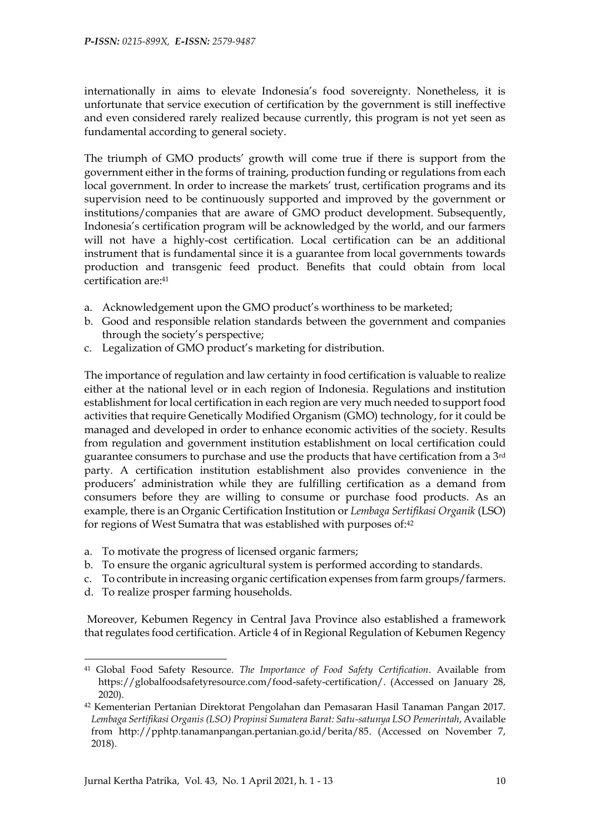internationally in aims to elevate Indonesia's food sovereignty. Nonetheless, it is unfortunate that service execution of certification by the government is still ineffective and even considered rarely realized because currently, this program is not yet seen as fundamental according to general society.

The triumph of GMO products' growth will come true if there is support from the government either in the forms of training, production funding or regulations from each local government. In order to increase the markets' trust, certification programs and its supervision need to be continuously supported and improved by the government or institutions/companies that are aware of GMO product development. Subsequently, Indonesia's certification program will be acknowledged by the world, and our farmers will not have a highly-cost certification. Local certification can be an additional instrument that is fundamental since it is a guarantee from local governments towards production and transgenic feed product. Benefits that could obtain from local certification are: 41

- a. Acknowledgement upon the GMO product's worthiness to be marketed;
- b. Good and responsible relation standards between the government and companies through the society's perspective;
- c. Legalization of GMO product's marketing for distribution.

The importance of regulation and law certainty in food certification is valuable to realize either at the national level or in each region of Indonesia. Regulations and institution establishment for local certification in each region are very much needed to support food activities that require Genetically Modified Organism (GMO) technology, for it could be managed and developed in order to enhance economic activities of the society. Results from regulation and government institution establishment on local certification could guarantee consumers to purchase and use the products that have certification from a 3rd party. A certification institution establishment also provides convenience in the producers' administration while they are fulfilling certification as a demand from consumers before they are willing to consume or purchase food products. As an example, there is an Organic Certification Institution or *Lembaga Sertifikasi Organik* (LSO) for regions of West Sumatra that was established with purposes of:42

- a. To motivate the progress of licensed organic farmers;
- b. To ensure the organic agricultural system is performed according to standards.
- c. To contribute in increasing organic certification expenses from farm groups/farmers.
- d. To realize prosper farming households.

-

Moreover, Kebumen Regency in Central Java Province also established a framework that regulates food certification. Article 4 of in Regional Regulation of Kebumen Regency

<sup>41</sup> Global Food Safety Resource. *The Importance of Food Safety Certification*. Available from [https://globalfoodsafetyresource.com/food-safety-certification/.](https://globalfoodsafetyresource.com/food-safety-certification/) (Accessed on January 28, 2020).

<sup>42</sup> Kementerian Pertanian Direktorat Pengolahan dan Pemasaran Hasil Tanaman Pangan 2017. *Lembaga Sertifikasi Organis (LSO) Propinsi Sumatera Barat: Satu-satunya LSO Pemerintah*, Available from [http://pphtp.tanamanpangan.pertanian.go.id/berita/85.](http://pphtp.tanamanpangan.pertanian.go.id/berita/85) (Accessed on November 7, 2018).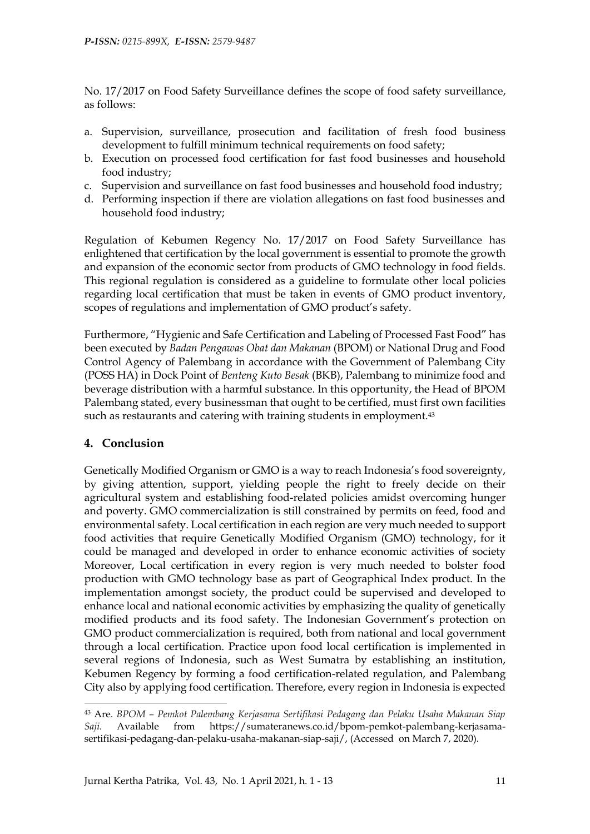No. 17/2017 on Food Safety Surveillance defines the scope of food safety surveillance, as follows:

- a. Supervision, surveillance, prosecution and facilitation of fresh food business development to fulfill minimum technical requirements on food safety;
- b. Execution on processed food certification for fast food businesses and household food industry;
- c. Supervision and surveillance on fast food businesses and household food industry;
- d. Performing inspection if there are violation allegations on fast food businesses and household food industry;

Regulation of Kebumen Regency No. 17/2017 on Food Safety Surveillance has enlightened that certification by the local government is essential to promote the growth and expansion of the economic sector from products of GMO technology in food fields. This regional regulation is considered as a guideline to formulate other local policies regarding local certification that must be taken in events of GMO product inventory, scopes of regulations and implementation of GMO product's safety.

Furthermore, "Hygienic and Safe Certification and Labeling of Processed Fast Food" has been executed by *Badan Pengawas Obat dan Makanan* (BPOM) or National Drug and Food Control Agency of Palembang in accordance with the Government of Palembang City (POSS HA) in Dock Point of *Benteng Kuto Besak* (BKB), Palembang to minimize food and beverage distribution with a harmful substance. In this opportunity, the Head of BPOM Palembang stated, every businessman that ought to be certified, must first own facilities such as restaurants and catering with training students in employment.<sup>43</sup>

### **4. Conclusion**

-

Genetically Modified Organism or GMO is a way to reach Indonesia's food sovereignty, by giving attention, support, yielding people the right to freely decide on their agricultural system and establishing food-related policies amidst overcoming hunger and poverty. GMO commercialization is still constrained by permits on feed, food and environmental safety. Local certification in each region are very much needed to support food activities that require Genetically Modified Organism (GMO) technology, for it could be managed and developed in order to enhance economic activities of society Moreover, Local certification in every region is very much needed to bolster food production with GMO technology base as part of Geographical Index product. In the implementation amongst society, the product could be supervised and developed to enhance local and national economic activities by emphasizing the quality of genetically modified products and its food safety. The Indonesian Government's protection on GMO product commercialization is required, both from national and local government through a local certification. Practice upon food local certification is implemented in several regions of Indonesia, such as West Sumatra by establishing an institution, Kebumen Regency by forming a food certification-related regulation, and Palembang City also by applying food certification. Therefore, every region in Indonesia is expected

<sup>43</sup> Are. *BPOM – Pemkot Palembang Kerjasama Sertifikasi Pedagang dan Pelaku Usaha Makanan Siap Saji.* Available from [https://sumateranews.co.id/bpom-pemkot-palembang-kerjasama](https://sumateranews.co.id/bpom-pemkot-palembang-kerjasama-sertifikasi-pedagang-dan-pelaku-usaha-makanan-siap-saji/)[sertifikasi-pedagang-dan-pelaku-usaha-makanan-siap-saji/,](https://sumateranews.co.id/bpom-pemkot-palembang-kerjasama-sertifikasi-pedagang-dan-pelaku-usaha-makanan-siap-saji/) (Accessed on March 7, 2020).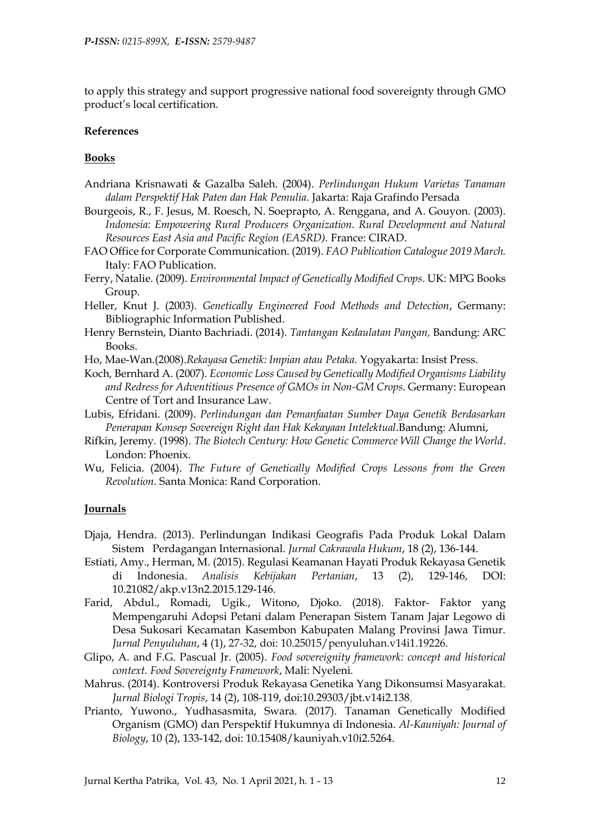to apply this strategy and support progressive national food sovereignty through GMO product's local certification.

#### **References**

#### **Books**

- Andriana Krisnawati & Gazalba Saleh. (2004). *Perlindungan Hukum Varietas Tanaman dalam Perspektif Hak Paten dan Hak Pemulia*. Jakarta: Raja Grafindo Persada
- Bourgeois, R., F. Jesus, M. Roesch, N. Soeprapto, A. Renggana, and A. Gouyon. (2003). *Indonesia: Empowering Rural Producers Organization. Rural Development and Natural Resources East Asia and Pacific Region (EASRD).* France: CIRAD.
- FAO Office for Corporate Communication. (2019). *FAO Publication Catalogue 2019 March.* Italy: FAO Publication.
- Ferry, Natalie. (2009). *Environmental Impact of Genetically Modified Crops*. UK: MPG Books Group.
- Heller, Knut J. (2003). *Genetically Engineered Food Methods and Detection*, Germany: Bibliographic Information Published.
- Henry Bernstein, Dianto Bachriadi. (2014). *Tantangan Kedaulatan Pangan,* Bandung: ARC Books.
- Ho, Mae-Wan.(2008).*Rekayasa Genetik: Impian atau Petaka.* Yogyakarta: Insist Press.
- Koch*,* Bernhard A. (2007). *Economic Loss Caused by Genetically Modified Organisms Liability and Redress for Adventitious Presence of GMOs in Non-GM Crops*. Germany: European Centre of Tort and Insurance Law.
- Lubis, Efridani. (2009). *Perlindungan dan Pemanfaatan Sumber Daya Genetik Berdasarkan Penerapan Konsep Sovereign Right dan Hak Kekayaan Intelektual*.Bandung: Alumni,
- Rifkin, Jeremy. (1998). *The Biotech Century: How Genetic Commerce Will Change the World*. London: Phoenix.
- Wu, Felicia. (2004). *The Future of Genetically Modified Crops Lessons from the Green Revolution.* Santa Monica: Rand Corporation.

#### **Journals**

- Djaja, Hendra. (2013). Perlindungan Indikasi Geografis Pada Produk Lokal Dalam Sistem Perdagangan Internasional. *Jurnal Cakrawala Hukum*, 18 (2), 136-144.
- Estiati, Amy., Herman, M. (2015). Regulasi Keamanan Hayati Produk Rekayasa Genetik di Indonesia. *Analisis Kebijakan Pertanian*, 13 (2), 129-146, DOI: [10.21082/akp.v13n2.2015.129-146.](http://dx.doi.org/10.21082/akp.v13n2.2015.129-146)
- Farid, Abdul., Romadi, Ugik., Witono, Djoko. (2018). Faktor- Faktor yang Mempengaruhi Adopsi Petani dalam Penerapan Sistem Tanam Jajar Legowo di Desa Sukosari Kecamatan Kasembon Kabupaten Malang Provinsi Jawa Timur. *Jurnal Penyuluhan*, 4 (1), 27-32, doi: 10.25015/penyuluhan.v14i1.19226.
- Glipo, A. and F.G. Pascual Jr. (2005). *Food sovereignity framework: concept and historical context. Food Sovereignty Framework*, Mali: Nyeleni.
- Mahrus. (2014). Kontroversi Produk Rekayasa Genetika Yang Dikonsumsi Masyarakat. *Jurnal Biologi Tropis*, 14 (2), 108-119, doi[:10.29303/jbt.v14i2.138](https://dx.doi.org/10.29303/jbt.v14i2.138),
- Prianto, Yuwono., Yudhasasmita, Swara. (2017). Tanaman Genetically Modified Organism (GMO) dan Perspektif Hukumnya di Indonesia. *Al-Kauniyah: Journal of Biology*, 10 (2), 133-142, doi: [10.15408/kauniyah.v10i2.5264.](https://doi.org/10.15408/kauniyah.v10i2.5264)